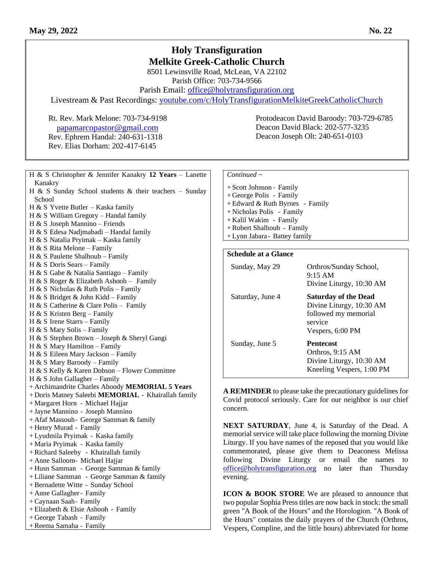## **Holy Transfiguration Melkite Greek-Catholic Church**

8501 Lewinsville Road, McLean, VA 22102 Parish Office: 703-734-9566

Parish Email: [office@holytransfiguration.org](mailto:office@holytransfiguration.org)

Livestream & Past Recordings: [youtube.com/c/HolyTransfigurationMelkiteGreekCatholicChurch](http://youtube.com/c/HolyTransfigurationMelkiteGreekCatholicChurch)

Rt. Rev. Mark Melone: 703-734-9198 Protodeacon David Baroody: 703-729-6785 [p](mailto:papamarcopastor@gmail.com)[apamarcopastor@gmail.com](mailto:papamarcopastor@gmail.com) Rev. Ephrem Handal: 240-631-1318 Rev. Elias Dorham: 202-417-6145

H & S Christopher & Jennifer Kanakry **12 Years** – Lanette Kanakry H & S Sunday School students & their teachers – Sunday School H & S Yvette Butler – Kaska family H & S William Gregory – Handal family H & S Joseph Mannino – Friends H & S Edesa Nadjmabadi – Handal family H & S Natalia Pryimak – Kaska family H & S Rita Melone – Family H & S Paulette Shalhoub – Family H & S Doris Sears – Family H & S Gabe & Natalia Santiago – Family H & S Roger & Elizabeth Ashooh – Family H & S Nicholas & Ruth Polis – Family H & S Bridget & John Kidd – Family H & S Catherine & Clare Polis – Family H & S Kristen Berg – Family H & S Irene Starrs – Family H & S Mary Solis – Family H & S Stephen Brown – Joseph & Sheryl Gangi H & S Mary Hamilton – Family H & S Eileen Mary Jackson – Family H & S Mary Baroody – Family H & S Kelly & Karen Dobson – Flower Committee H & S John Gallagher – Family + Archimandrite Charles Aboody **MEMORIAL 5 Years** + Doris Matney Saleebi **MEMORIAL** - Khairallah family + Margaret Horn - Michael Hajjar + Jayne Mannino - Joseph Mannino + Afaf Massouh- George Samman & family + Henry Murad - Family + Lyudmila Pryimak - Kaska family + Maria Pryimak - Kaska family +Richard Saleeby - Khairallah family + Anne Salloom- Michael Hajjar + Husn Samman - George Samman & family + Liliane Samman - George Samman & family +Bernadette Witte - Sunday School + Anne Gallagher- Family +Caynaan Saah- Family + Elizabeth & Elsie Ashooh - Family + George Tabash - Family +Reema Samaha - Family

| $Continued \sim$                  |
|-----------------------------------|
| + Scott Johnson - Family          |
| + George Polis - Family           |
| $+$ Edward & Ruth Byrnes - Family |
| + Nicholas Polis - Family         |
| + Kalil Wakim - Family            |
| + Robert Shalhoub - Family        |
| + Lynn Jabara - Battey family     |
|                                   |
| <b>Schedule at a Glance</b>       |

## Sunday, May 29 Orthros/Sunday School, 9:15 AM Divine Liturgy, 10:30 AM Saturday, June 4 **Saturday of the Dead** Divine Liturgy, 10:30 AM followed my memorial service Vespers, 6:00 PM Sunday, June 5 **Pentecost** Orthros, 9:15 AM Divine Liturgy, 10:30 AM Kneeling Vespers, 1:00 PM

Deacon David Black: 202-577-3235 Deacon Joseph Olt: 240-651-0103

**A REMINDER** to please take the precautionary guidelines for Covid protocol seriously. Care for our neighbor is our chief concern.

**NEXT SATURDAY**, June 4, is Saturday of the Dead. A memorial service will take place following the morning Divine Liturgy. If you have names of the reposed that you would like commemorated, please give them to Deaconess Melissa following Divine Liturgy or email the names to [office@holytransfiguration.org](mailto:office@holytransfiguration.org) no later than Thursday evening.

**ICON & BOOK STORE** We are pleased to announce that two popular Sophia Press titles are now back in stock: the small green "A Book of the Hours" and the Horologion. "A Book of the Hours" contains the daily prayers of the Church (Orthros, Vespers, Compline, and the little hours) abbreviated for home